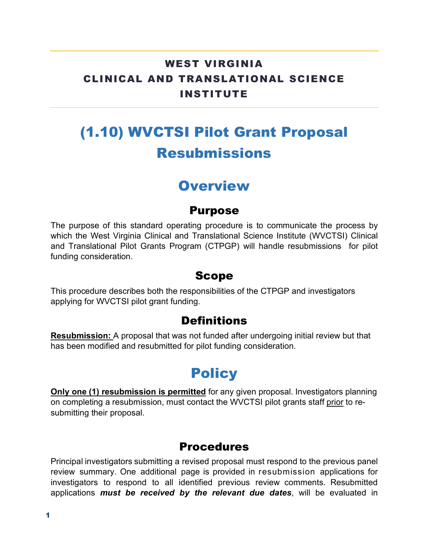## WEST VIRGINIA CLINICAL AND TRANSLATIONAL SCIENCE INSTITUTE

# (1.10) WVCTSI Pilot Grant Proposal Resubmissions

## **Overview**

#### Purpose

The purpose of this standard operating procedure is to communicate the process by which the West Virginia Clinical and Translational Science Institute (WVCTSI) Clinical and Translational Pilot Grants Program (CTPGP) will handle resubmissions for pilot funding consideration.

#### Scope

This procedure describes both the responsibilities of the CTPGP and investigators applying for WVCTSI pilot grant funding.

### **Definitions**

**Resubmission:** A proposal that was not funded after undergoing initial review but that has been modified and resubmitted for pilot funding consideration.

# **Policy**

**Only one (1) resubmission is permitted** for any given proposal. Investigators planning on completing a resubmission, must contact the WVCTSI pilot grants staff prior to resubmitting their proposal.

### **Procedures**

Principal investigators submitting a revised proposal must respond to the previous panel review summary. One additional page is provided in resubmission applications for investigators to respond to all identified previous review comments. Resubmitted applications *must be received by the relevant due dates*, will be evaluated in